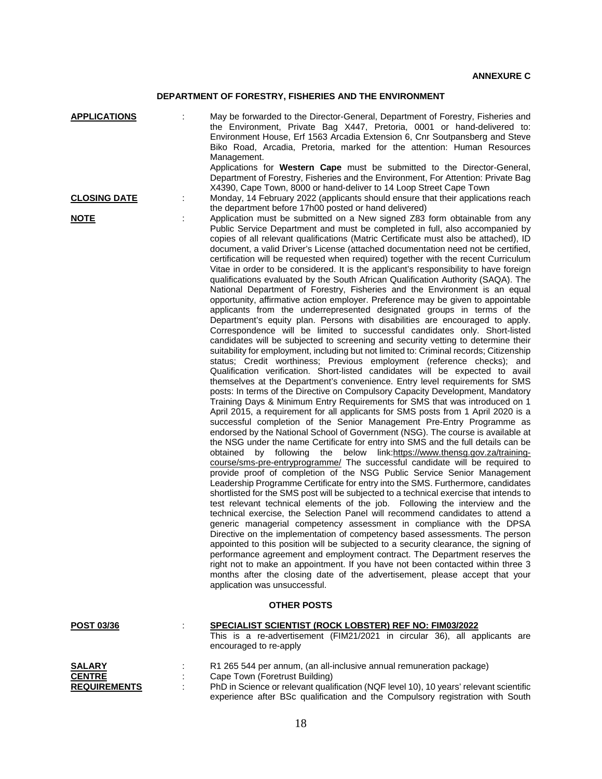## **DEPARTMENT OF FORESTRY, FISHERIES AND THE ENVIRONMENT**

| <b>APPLICATIONS</b>                                   | t | May be forwarded to the Director-General, Department of Forestry, Fisheries and<br>the Environment, Private Bag X447, Pretoria, 0001 or hand-delivered to:<br>Environment House, Erf 1563 Arcadia Extension 6, Cnr Soutpansberg and Steve<br>Biko Road, Arcadia, Pretoria, marked for the attention: Human Resources<br>Management.<br>Applications for Western Cape must be submitted to the Director-General,<br>Department of Forestry, Fisheries and the Environment, For Attention: Private Bag                                                                                                                                                                                                                                                                                                                                                                                                                                                                                                                                                                                                                                                                                                                                                                                                                                                                                                                                                                                                                                                                                                                                                                                                                                                                                                                                                                                                                                                                                                                                                                                                                                                                                                                                                                                                                                                                                                                                                                                                                                                                                                                                                                                                                                                                                                                                                                                                                                                                                                                                                                         |
|-------------------------------------------------------|---|------------------------------------------------------------------------------------------------------------------------------------------------------------------------------------------------------------------------------------------------------------------------------------------------------------------------------------------------------------------------------------------------------------------------------------------------------------------------------------------------------------------------------------------------------------------------------------------------------------------------------------------------------------------------------------------------------------------------------------------------------------------------------------------------------------------------------------------------------------------------------------------------------------------------------------------------------------------------------------------------------------------------------------------------------------------------------------------------------------------------------------------------------------------------------------------------------------------------------------------------------------------------------------------------------------------------------------------------------------------------------------------------------------------------------------------------------------------------------------------------------------------------------------------------------------------------------------------------------------------------------------------------------------------------------------------------------------------------------------------------------------------------------------------------------------------------------------------------------------------------------------------------------------------------------------------------------------------------------------------------------------------------------------------------------------------------------------------------------------------------------------------------------------------------------------------------------------------------------------------------------------------------------------------------------------------------------------------------------------------------------------------------------------------------------------------------------------------------------------------------------------------------------------------------------------------------------------------------------------------------------------------------------------------------------------------------------------------------------------------------------------------------------------------------------------------------------------------------------------------------------------------------------------------------------------------------------------------------------------------------------------------------------------------------------------------------------|
| <b>CLOSING DATE</b>                                   | ÷ | X4390, Cape Town, 8000 or hand-deliver to 14 Loop Street Cape Town<br>Monday, 14 February 2022 (applicants should ensure that their applications reach<br>the department before 17h00 posted or hand delivered)                                                                                                                                                                                                                                                                                                                                                                                                                                                                                                                                                                                                                                                                                                                                                                                                                                                                                                                                                                                                                                                                                                                                                                                                                                                                                                                                                                                                                                                                                                                                                                                                                                                                                                                                                                                                                                                                                                                                                                                                                                                                                                                                                                                                                                                                                                                                                                                                                                                                                                                                                                                                                                                                                                                                                                                                                                                              |
| <b>NOTE</b>                                           |   | Application must be submitted on a New signed Z83 form obtainable from any<br>Public Service Department and must be completed in full, also accompanied by<br>copies of all relevant qualifications (Matric Certificate must also be attached), ID<br>document, a valid Driver's License (attached documentation need not be certified,<br>certification will be requested when required) together with the recent Curriculum<br>Vitae in order to be considered. It is the applicant's responsibility to have foreign<br>qualifications evaluated by the South African Qualification Authority (SAQA). The<br>National Department of Forestry, Fisheries and the Environment is an equal<br>opportunity, affirmative action employer. Preference may be given to appointable<br>applicants from the underrepresented designated groups in terms of the<br>Department's equity plan. Persons with disabilities are encouraged to apply.<br>Correspondence will be limited to successful candidates only. Short-listed<br>candidates will be subjected to screening and security vetting to determine their<br>suitability for employment, including but not limited to: Criminal records; Citizenship<br>status; Credit worthiness; Previous employment (reference checks); and<br>Qualification verification. Short-listed candidates will be expected to avail<br>themselves at the Department's convenience. Entry level requirements for SMS<br>posts: In terms of the Directive on Compulsory Capacity Development, Mandatory<br>Training Days & Minimum Entry Requirements for SMS that was introduced on 1<br>April 2015, a requirement for all applicants for SMS posts from 1 April 2020 is a<br>successful completion of the Senior Management Pre-Entry Programme as<br>endorsed by the National School of Government (NSG). The course is available at<br>the NSG under the name Certificate for entry into SMS and the full details can be<br>obtained by following the below link:https://www.thensg.gov.za/training-<br>course/sms-pre-entryprogramme/ The successful candidate will be required to<br>provide proof of completion of the NSG Public Service Senior Management<br>Leadership Programme Certificate for entry into the SMS. Furthermore, candidates<br>shortlisted for the SMS post will be subjected to a technical exercise that intends to<br>test relevant technical elements of the job. Following the interview and the<br>technical exercise, the Selection Panel will recommend candidates to attend a<br>generic managerial competency assessment in compliance with the DPSA<br>Directive on the implementation of competency based assessments. The person<br>appointed to this position will be subjected to a security clearance, the signing of<br>performance agreement and employment contract. The Department reserves the<br>right not to make an appointment. If you have not been contacted within three 3<br>months after the closing date of the advertisement, please accept that your<br>application was unsuccessful. |
|                                                       |   | <b>OTHER POSTS</b>                                                                                                                                                                                                                                                                                                                                                                                                                                                                                                                                                                                                                                                                                                                                                                                                                                                                                                                                                                                                                                                                                                                                                                                                                                                                                                                                                                                                                                                                                                                                                                                                                                                                                                                                                                                                                                                                                                                                                                                                                                                                                                                                                                                                                                                                                                                                                                                                                                                                                                                                                                                                                                                                                                                                                                                                                                                                                                                                                                                                                                                           |
| <b>POST 03/36</b>                                     | ÷ | SPECIALIST SCIENTIST (ROCK LOBSTER) REF NO: FIM03/2022<br>This is a re-advertisement (FIM21/2021 in circular 36), all applicants are<br>encouraged to re-apply                                                                                                                                                                                                                                                                                                                                                                                                                                                                                                                                                                                                                                                                                                                                                                                                                                                                                                                                                                                                                                                                                                                                                                                                                                                                                                                                                                                                                                                                                                                                                                                                                                                                                                                                                                                                                                                                                                                                                                                                                                                                                                                                                                                                                                                                                                                                                                                                                                                                                                                                                                                                                                                                                                                                                                                                                                                                                                               |
| <b>SALARY</b><br><b>CENTRE</b><br><b>REQUIREMENTS</b> |   | R1 265 544 per annum, (an all-inclusive annual remuneration package)<br>Cape Town (Foretrust Building)<br>PhD in Science or relevant qualification (NQF level 10), 10 years' relevant scientific<br>experience after BSc qualification and the Compulsory registration with South                                                                                                                                                                                                                                                                                                                                                                                                                                                                                                                                                                                                                                                                                                                                                                                                                                                                                                                                                                                                                                                                                                                                                                                                                                                                                                                                                                                                                                                                                                                                                                                                                                                                                                                                                                                                                                                                                                                                                                                                                                                                                                                                                                                                                                                                                                                                                                                                                                                                                                                                                                                                                                                                                                                                                                                            |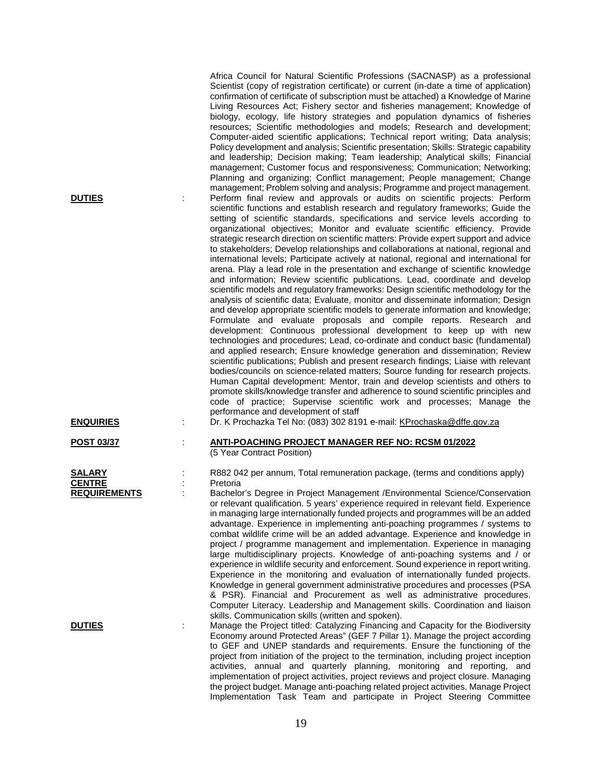| <b>DUTIES</b>                                         | Africa Council for Natural Scientific Professions (SACNASP) as a professional<br>Scientist (copy of registration certificate) or current (in-date a time of application)<br>confirmation of certificate of subscription must be attached) a Knowledge of Marine<br>Living Resources Act; Fishery sector and fisheries management; Knowledge of<br>biology, ecology, life history strategies and population dynamics of fisheries<br>resources; Scientific methodologies and models; Research and development;<br>Computer-aided scientific applications; Technical report writing; Data analysis;<br>Policy development and analysis; Scientific presentation; Skills: Strategic capability<br>and leadership; Decision making; Team leadership; Analytical skills; Financial<br>management; Customer focus and responsiveness; Communication; Networking;<br>Planning and organizing; Conflict management; People management; Change<br>management; Problem solving and analysis; Programme and project management.<br>Perform final review and approvals or audits on scientific projects: Perform<br>scientific functions and establish research and regulatory frameworks; Guide the<br>setting of scientific standards, specifications and service levels according to<br>organizational objectives; Monitor and evaluate scientific efficiency. Provide<br>strategic research direction on scientific matters: Provide expert support and advice<br>to stakeholders; Develop relationships and collaborations at national, regional and<br>international levels; Participate actively at national, regional and international for<br>arena. Play a lead role in the presentation and exchange of scientific knowledge<br>and information; Review scientific publications. Lead, coordinate and develop<br>scientific models and regulatory frameworks: Design scientific methodology for the<br>analysis of scientific data; Evaluate, monitor and disseminate information; Design<br>and develop appropriate scientific models to generate information and knowledge;<br>Formulate and evaluate proposals and compile reports. Research and<br>development: Continuous professional development to keep up with new<br>technologies and procedures; Lead, co-ordinate and conduct basic (fundamental)<br>and applied research; Ensure knowledge generation and dissemination; Review<br>scientific publications; Publish and present research findings; Liaise with relevant<br>bodies/councils on science-related matters; Source funding for research projects.<br>Human Capital development: Mentor, train and develop scientists and others to<br>promote skills/knowledge transfer and adherence to sound scientific principles and<br>code of practice; Supervise scientific work and processes; Manage the<br>performance and development of staff |
|-------------------------------------------------------|------------------------------------------------------------------------------------------------------------------------------------------------------------------------------------------------------------------------------------------------------------------------------------------------------------------------------------------------------------------------------------------------------------------------------------------------------------------------------------------------------------------------------------------------------------------------------------------------------------------------------------------------------------------------------------------------------------------------------------------------------------------------------------------------------------------------------------------------------------------------------------------------------------------------------------------------------------------------------------------------------------------------------------------------------------------------------------------------------------------------------------------------------------------------------------------------------------------------------------------------------------------------------------------------------------------------------------------------------------------------------------------------------------------------------------------------------------------------------------------------------------------------------------------------------------------------------------------------------------------------------------------------------------------------------------------------------------------------------------------------------------------------------------------------------------------------------------------------------------------------------------------------------------------------------------------------------------------------------------------------------------------------------------------------------------------------------------------------------------------------------------------------------------------------------------------------------------------------------------------------------------------------------------------------------------------------------------------------------------------------------------------------------------------------------------------------------------------------------------------------------------------------------------------------------------------------------------------------------------------------------------------------------------------------------------------------------------------------------------------------------------------------------------------------------------------------------------------------------------------|
| <b>ENQUIRIES</b>                                      | Dr. K Prochazka Tel No: (083) 302 8191 e-mail: KProchaska@dffe.gov.za                                                                                                                                                                                                                                                                                                                                                                                                                                                                                                                                                                                                                                                                                                                                                                                                                                                                                                                                                                                                                                                                                                                                                                                                                                                                                                                                                                                                                                                                                                                                                                                                                                                                                                                                                                                                                                                                                                                                                                                                                                                                                                                                                                                                                                                                                                                                                                                                                                                                                                                                                                                                                                                                                                                                                                                            |
| <b>POST 03/37</b>                                     | <b>ANTI-POACHING PROJECT MANAGER REF NO: RCSM 01/2022</b><br>(5 Year Contract Position)                                                                                                                                                                                                                                                                                                                                                                                                                                                                                                                                                                                                                                                                                                                                                                                                                                                                                                                                                                                                                                                                                                                                                                                                                                                                                                                                                                                                                                                                                                                                                                                                                                                                                                                                                                                                                                                                                                                                                                                                                                                                                                                                                                                                                                                                                                                                                                                                                                                                                                                                                                                                                                                                                                                                                                          |
| <b>SALARY</b><br><b>CENTRE</b><br><b>REQUIREMENTS</b> | R882 042 per annum, Total remuneration package, (terms and conditions apply)<br>Pretoria<br>Bachelor's Degree in Project Management / Environmental Science/Conservation<br>or relevant qualification. 5 years' experience required in relevant field. Experience<br>in managing large internationally funded projects and programmes will be an added<br>advantage. Experience in implementing anti-poaching programmes / systems to<br>combat wildlife crime will be an added advantage. Experience and knowledge in<br>project / programme management and implementation. Experience in managing<br>large multidisciplinary projects. Knowledge of anti-poaching systems and / or<br>experience in wildlife security and enforcement. Sound experience in report writing.<br>Experience in the monitoring and evaluation of internationally funded projects.<br>Knowledge in general government administrative procedures and processes (PSA<br>& PSR). Financial and Procurement as well as administrative procedures.<br>Computer Literacy. Leadership and Management skills. Coordination and liaison                                                                                                                                                                                                                                                                                                                                                                                                                                                                                                                                                                                                                                                                                                                                                                                                                                                                                                                                                                                                                                                                                                                                                                                                                                                                                                                                                                                                                                                                                                                                                                                                                                                                                                                                                      |
| <b>DUTIES</b>                                         | skills. Communication skills (written and spoken).<br>Manage the Project titled: Catalyzing Financing and Capacity for the Biodiversity<br>Economy around Protected Areas" (GEF 7 Pillar 1). Manage the project according<br>to GEF and UNEP standards and requirements. Ensure the functioning of the<br>project from initiation of the project to the termination, including project inception<br>activities, annual and quarterly planning, monitoring and reporting, and<br>implementation of project activities, project reviews and project closure. Managing<br>the project budget. Manage anti-poaching related project activities. Manage Project<br>Implementation Task Team and participate in Project Steering Committee                                                                                                                                                                                                                                                                                                                                                                                                                                                                                                                                                                                                                                                                                                                                                                                                                                                                                                                                                                                                                                                                                                                                                                                                                                                                                                                                                                                                                                                                                                                                                                                                                                                                                                                                                                                                                                                                                                                                                                                                                                                                                                                             |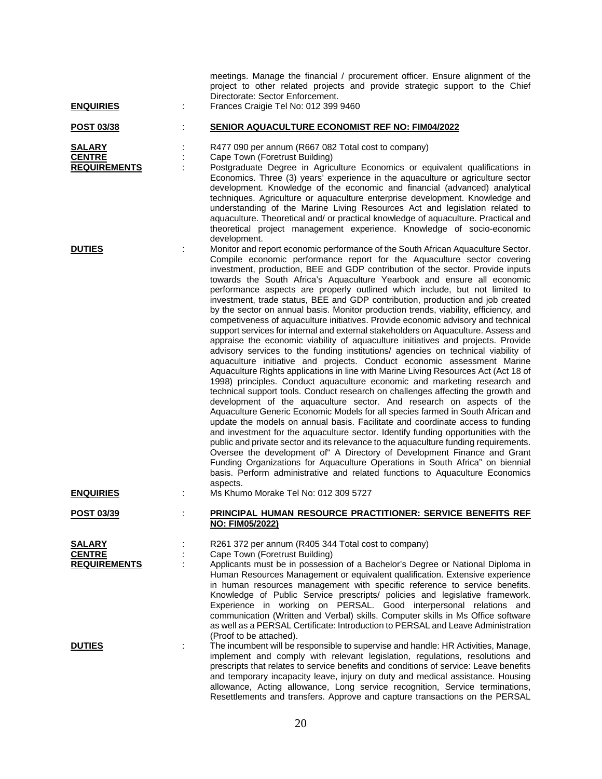| <b>ENQUIRIES</b>                                      | ÷ | meetings. Manage the financial / procurement officer. Ensure alignment of the<br>project to other related projects and provide strategic support to the Chief<br>Directorate: Sector Enforcement.<br>Frances Craigie Tel No: 012 399 9460                                                                                                                                                                                                                                                                                                                                                                                                                                                                                                                                                                                                                                                                                                                                                                                                                                                                                                                                                                                                                                                                                                                                                                                                                                                                                                                                                                                                                                                                                                                                                                                                                                                                                                                    |
|-------------------------------------------------------|---|--------------------------------------------------------------------------------------------------------------------------------------------------------------------------------------------------------------------------------------------------------------------------------------------------------------------------------------------------------------------------------------------------------------------------------------------------------------------------------------------------------------------------------------------------------------------------------------------------------------------------------------------------------------------------------------------------------------------------------------------------------------------------------------------------------------------------------------------------------------------------------------------------------------------------------------------------------------------------------------------------------------------------------------------------------------------------------------------------------------------------------------------------------------------------------------------------------------------------------------------------------------------------------------------------------------------------------------------------------------------------------------------------------------------------------------------------------------------------------------------------------------------------------------------------------------------------------------------------------------------------------------------------------------------------------------------------------------------------------------------------------------------------------------------------------------------------------------------------------------------------------------------------------------------------------------------------------------|
| <u>POST 03/38</u>                                     |   | <b>SENIOR AQUACULTURE ECONOMIST REF NO: FIM04/2022</b>                                                                                                                                                                                                                                                                                                                                                                                                                                                                                                                                                                                                                                                                                                                                                                                                                                                                                                                                                                                                                                                                                                                                                                                                                                                                                                                                                                                                                                                                                                                                                                                                                                                                                                                                                                                                                                                                                                       |
| <b>SALARY</b><br><b>CENTRE</b><br><b>REQUIREMENTS</b> | ÷ | R477 090 per annum (R667 082 Total cost to company)<br>Cape Town (Foretrust Building)<br>Postgraduate Degree in Agriculture Economics or equivalent qualifications in<br>Economics. Three (3) years' experience in the aquaculture or agriculture sector<br>development. Knowledge of the economic and financial (advanced) analytical<br>techniques. Agriculture or aquaculture enterprise development. Knowledge and<br>understanding of the Marine Living Resources Act and legislation related to<br>aquaculture. Theoretical and/ or practical knowledge of aquaculture. Practical and<br>theoretical project management experience. Knowledge of socio-economic<br>development.                                                                                                                                                                                                                                                                                                                                                                                                                                                                                                                                                                                                                                                                                                                                                                                                                                                                                                                                                                                                                                                                                                                                                                                                                                                                        |
| <b>DUTIES</b>                                         |   | Monitor and report economic performance of the South African Aquaculture Sector.<br>Compile economic performance report for the Aquaculture sector covering<br>investment, production, BEE and GDP contribution of the sector. Provide inputs<br>towards the South Africa's Aquaculture Yearbook and ensure all economic<br>performance aspects are properly outlined which include, but not limited to<br>investment, trade status, BEE and GDP contribution, production and job created<br>by the sector on annual basis. Monitor production trends, viability, efficiency, and<br>competiveness of aquaculture initiatives. Provide economic advisory and technical<br>support services for internal and external stakeholders on Aquaculture. Assess and<br>appraise the economic viability of aquaculture initiatives and projects. Provide<br>advisory services to the funding institutions/ agencies on technical viability of<br>aquaculture initiative and projects. Conduct economic assessment Marine<br>Aquaculture Rights applications in line with Marine Living Resources Act (Act 18 of<br>1998) principles. Conduct aquaculture economic and marketing research and<br>technical support tools. Conduct research on challenges affecting the growth and<br>development of the aquaculture sector. And research on aspects of the<br>Aquaculture Generic Economic Models for all species farmed in South African and<br>update the models on annual basis. Facilitate and coordinate access to funding<br>and investment for the aquaculture sector. Identify funding opportunities with the<br>public and private sector and its relevance to the aquaculture funding requirements.<br>Oversee the development of A Directory of Development Finance and Grant<br>Funding Organizations for Aquaculture Operations in South Africa" on biennial<br>basis. Perform administrative and related functions to Aquaculture Economics<br>aspects. |
| <b>ENQUIRIES</b>                                      |   | Ms Khumo Morake Tel No: 012 309 5727                                                                                                                                                                                                                                                                                                                                                                                                                                                                                                                                                                                                                                                                                                                                                                                                                                                                                                                                                                                                                                                                                                                                                                                                                                                                                                                                                                                                                                                                                                                                                                                                                                                                                                                                                                                                                                                                                                                         |
| POST 03/39                                            |   | PRINCIPAL HUMAN RESOURCE PRACTITIONER: SERVICE BENEFITS REF<br><b>NO: FIM05/2022)</b>                                                                                                                                                                                                                                                                                                                                                                                                                                                                                                                                                                                                                                                                                                                                                                                                                                                                                                                                                                                                                                                                                                                                                                                                                                                                                                                                                                                                                                                                                                                                                                                                                                                                                                                                                                                                                                                                        |
| <u>SALARY</u><br><b>CENTRE</b><br><b>REQUIREMENTS</b> |   | R261 372 per annum (R405 344 Total cost to company)<br>Cape Town (Foretrust Building)<br>Applicants must be in possession of a Bachelor's Degree or National Diploma in<br>Human Resources Management or equivalent qualification. Extensive experience<br>in human resources management with specific reference to service benefits.<br>Knowledge of Public Service prescripts/ policies and legislative framework.<br>Experience in working on PERSAL. Good interpersonal relations and<br>communication (Written and Verbal) skills. Computer skills in Ms Office software<br>as well as a PERSAL Certificate: Introduction to PERSAL and Leave Administration<br>(Proof to be attached).                                                                                                                                                                                                                                                                                                                                                                                                                                                                                                                                                                                                                                                                                                                                                                                                                                                                                                                                                                                                                                                                                                                                                                                                                                                                 |
| <b>DUTIES</b>                                         |   | The incumbent will be responsible to supervise and handle: HR Activities, Manage,<br>implement and comply with relevant legislation, regulations, resolutions and<br>prescripts that relates to service benefits and conditions of service: Leave benefits<br>and temporary incapacity leave, injury on duty and medical assistance. Housing<br>allowance, Acting allowance, Long service recognition, Service terminations,                                                                                                                                                                                                                                                                                                                                                                                                                                                                                                                                                                                                                                                                                                                                                                                                                                                                                                                                                                                                                                                                                                                                                                                                                                                                                                                                                                                                                                                                                                                                 |

Resettlements and transfers. Approve and capture transactions on the PERSAL